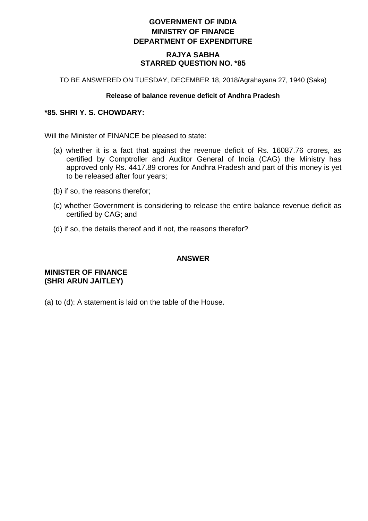# **GOVERNMENT OF INDIA MINISTRY OF FINANCE DEPARTMENT OF EXPENDITURE**

### **RAJYA SABHA STARRED QUESTION NO. \*85**

TO BE ANSWERED ON TUESDAY, DECEMBER 18, 2018/Agrahayana 27, 1940 (Saka)

#### **Release of balance revenue deficit of Andhra Pradesh**

## **\*85. SHRI Y. S. CHOWDARY:**

Will the Minister of FINANCE be pleased to state:

- (a) whether it is a fact that against the revenue deficit of Rs. 16087.76 crores, as certified by Comptroller and Auditor General of India (CAG) the Ministry has approved only Rs. 4417.89 crores for Andhra Pradesh and part of this money is yet to be released after four years;
- (b) if so, the reasons therefor;
- (c) whether Government is considering to release the entire balance revenue deficit as certified by CAG; and
- (d) if so, the details thereof and if not, the reasons therefor?

### **ANSWER**

### **MINISTER OF FINANCE (SHRI ARUN JAITLEY)**

(a) to (d): A statement is laid on the table of the House.